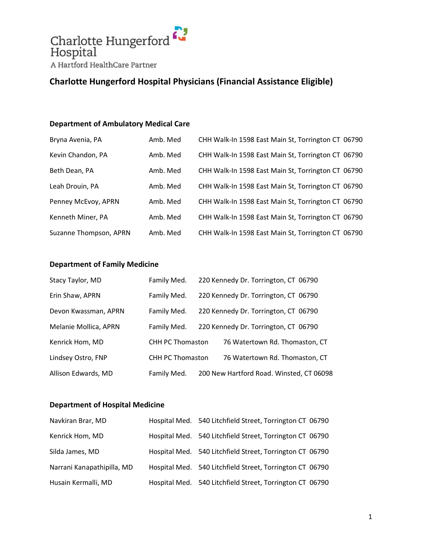

#### **Department of Ambulatory Medical Care**

| Bryna Avenia, PA       | Amb. Med | CHH Walk-In 1598 East Main St, Torrington CT 06790 |  |
|------------------------|----------|----------------------------------------------------|--|
| Kevin Chandon, PA      | Amb. Med | CHH Walk-In 1598 East Main St, Torrington CT 06790 |  |
| Beth Dean, PA          | Amb. Med | CHH Walk-In 1598 East Main St, Torrington CT 06790 |  |
| Leah Drouin, PA        | Amb. Med | CHH Walk-In 1598 East Main St, Torrington CT 06790 |  |
| Penney McEvoy, APRN    | Amb. Med | CHH Walk-In 1598 East Main St, Torrington CT 06790 |  |
| Kenneth Miner, PA      | Amb. Med | CHH Walk-In 1598 East Main St, Torrington CT 06790 |  |
| Suzanne Thompson, APRN | Amb. Med | CHH Walk-In 1598 East Main St, Torrington CT 06790 |  |

#### **Department of Family Medicine**

| Stacy Taylor, MD      | Family Med.             | 220 Kennedy Dr. Torrington, CT 06790     |
|-----------------------|-------------------------|------------------------------------------|
| Erin Shaw, APRN       | Family Med.             | 220 Kennedy Dr. Torrington, CT 06790     |
| Devon Kwassman, APRN  | Family Med.             | 220 Kennedy Dr. Torrington, CT 06790     |
| Melanie Mollica, APRN | Family Med.             | 220 Kennedy Dr. Torrington, CT 06790     |
| Kenrick Hom, MD       | <b>CHH PC Thomaston</b> | 76 Watertown Rd. Thomaston, CT           |
| Lindsey Ostro, FNP    | <b>CHH PC Thomaston</b> | 76 Watertown Rd. Thomaston, CT           |
| Allison Edwards, MD   | Family Med.             | 200 New Hartford Road. Winsted, CT 06098 |

#### **Department of Hospital Medicine**

| Navkiran Brar, MD          | Hospital Med. 540 Litchfield Street, Torrington CT 06790 |  |
|----------------------------|----------------------------------------------------------|--|
| Kenrick Hom, MD            | Hospital Med. 540 Litchfield Street, Torrington CT 06790 |  |
| Silda James, MD            | Hospital Med. 540 Litchfield Street, Torrington CT 06790 |  |
| Narrani Kanapathipilla, MD | Hospital Med. 540 Litchfield Street, Torrington CT 06790 |  |
| Husain Kermalli, MD        | Hospital Med. 540 Litchfield Street, Torrington CT 06790 |  |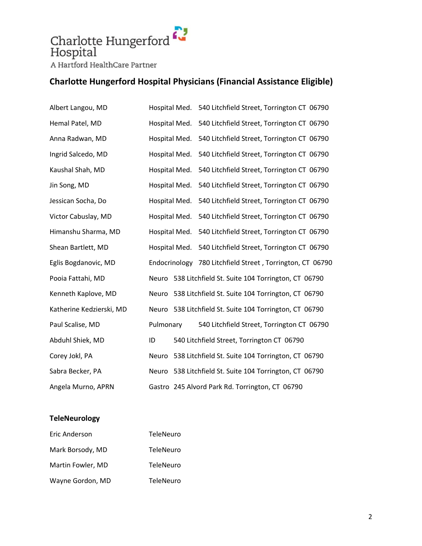# Charlotte Hungerford A Hartford HealthCare Partner

# **Charlotte Hungerford Hospital Physicians (Financial Assistance Eligible)**

| Albert Langou, MD        | Hospital Med. | 540 Litchfield Street, Torrington CT 06790        |
|--------------------------|---------------|---------------------------------------------------|
| Hemal Patel, MD          | Hospital Med. | 540 Litchfield Street, Torrington CT 06790        |
| Anna Radwan, MD          | Hospital Med. | 540 Litchfield Street, Torrington CT 06790        |
| Ingrid Salcedo, MD       | Hospital Med. | 540 Litchfield Street, Torrington CT 06790        |
| Kaushal Shah, MD         | Hospital Med. | 540 Litchfield Street, Torrington CT 06790        |
| Jin Song, MD             | Hospital Med. | 540 Litchfield Street, Torrington CT 06790        |
| Jessican Socha, Do       | Hospital Med. | 540 Litchfield Street, Torrington CT 06790        |
| Victor Cabuslay, MD      | Hospital Med. | 540 Litchfield Street, Torrington CT 06790        |
| Himanshu Sharma, MD      | Hospital Med. | 540 Litchfield Street, Torrington CT 06790        |
| Shean Bartlett, MD       | Hospital Med. | 540 Litchfield Street, Torrington CT 06790        |
| Eglis Bogdanovic, MD     | Endocrinology | 780 Litchfield Street, Torrington, CT 06790       |
| Pooia Fattahi, MD        | Neuro         | 538 Litchfield St. Suite 104 Torrington, CT 06790 |
| Kenneth Kaplove, MD      | Neuro         | 538 Litchfield St. Suite 104 Torrington, CT 06790 |
| Katherine Kedzierski, MD | Neuro         | 538 Litchfield St. Suite 104 Torrington, CT 06790 |
| Paul Scalise, MD         | Pulmonary     | 540 Litchfield Street, Torrington CT 06790        |
| Abduhl Shiek, MD         | ID            | 540 Litchfield Street, Torrington CT 06790        |
| Corey Jokl, PA           | Neuro         | 538 Litchfield St. Suite 104 Torrington, CT 06790 |
| Sabra Becker, PA         | Neuro         | 538 Litchfield St. Suite 104 Torrington, CT 06790 |
| Angela Murno, APRN       |               | Gastro 245 Alvord Park Rd. Torrington, CT 06790   |

#### **TeleNeurology**

| Eric Anderson     | <b>TeleNeuro</b> |
|-------------------|------------------|
| Mark Borsody, MD  | <b>TeleNeuro</b> |
| Martin Fowler, MD | TeleNeuro        |
| Wayne Gordon, MD  | TeleNeuro        |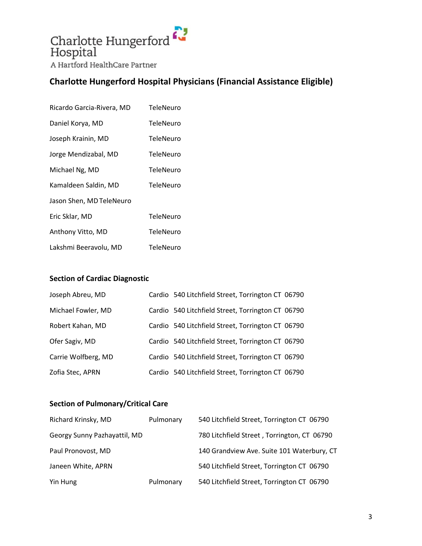

| Ricardo Garcia-Rivera, MD | TeleNeuro        |
|---------------------------|------------------|
| Daniel Korya, MD          | TeleNeuro        |
| Joseph Krainin, MD        | <b>TeleNeuro</b> |
| Jorge Mendizabal, MD      | TeleNeuro        |
| Michael Ng, MD            | TeleNeuro        |
| Kamaldeen Saldin, MD      | TeleNeuro        |
| Jason Shen, MD TeleNeuro  |                  |
| Eric Sklar, MD            | TeleNeuro        |
| Anthony Vitto, MD         | <b>TeleNeuro</b> |
| Lakshmi Beeravolu, MD     | TeleNeuro        |

#### **Section of Cardiac Diagnostic**

| Joseph Abreu, MD    | Cardio 540 Litchfield Street, Torrington CT 06790 |  |
|---------------------|---------------------------------------------------|--|
| Michael Fowler, MD  | Cardio 540 Litchfield Street, Torrington CT 06790 |  |
| Robert Kahan, MD    | Cardio 540 Litchfield Street, Torrington CT 06790 |  |
| Ofer Sagiv, MD      | Cardio 540 Litchfield Street, Torrington CT 06790 |  |
| Carrie Wolfberg, MD | Cardio 540 Litchfield Street, Torrington CT 06790 |  |
| Zofia Stec, APRN    | Cardio 540 Litchfield Street, Torrington CT 06790 |  |

#### **Section of Pulmonary/Critical Care**

| Richard Krinsky, MD          | Pulmonary | 540 Litchfield Street, Torrington CT 06790  |
|------------------------------|-----------|---------------------------------------------|
| Georgy Sunny Pazhayattil, MD |           | 780 Litchfield Street, Torrington, CT 06790 |
| Paul Pronovost, MD           |           | 140 Grandview Ave. Suite 101 Waterbury, CT  |
| Janeen White, APRN           |           | 540 Litchfield Street, Torrington CT 06790  |
| Yin Hung                     | Pulmonary | 540 Litchfield Street, Torrington CT 06790  |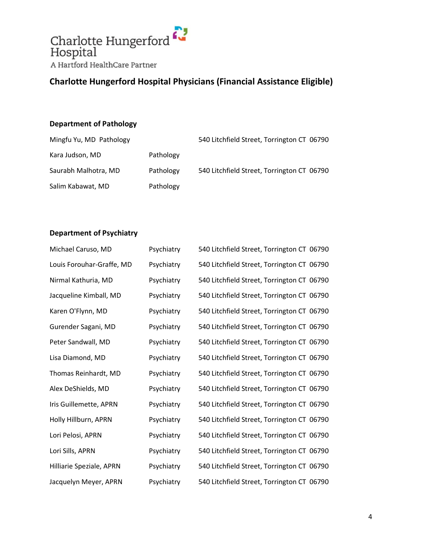

#### **Department of Pathology**

| Mingfu Yu, MD Pathology |           | 540 Litchfield Street, Torrington CT 06790 |  |
|-------------------------|-----------|--------------------------------------------|--|
| Kara Judson, MD         | Pathology |                                            |  |
| Saurabh Malhotra, MD    | Pathology | 540 Litchfield Street, Torrington CT 06790 |  |
| Salim Kabawat, MD       | Pathology |                                            |  |

#### **Department of Psychiatry**

| Michael Caruso, MD        | Psychiatry | 540 Litchfield Street, Torrington CT 06790 |  |
|---------------------------|------------|--------------------------------------------|--|
| Louis Forouhar-Graffe, MD | Psychiatry | 540 Litchfield Street, Torrington CT 06790 |  |
| Nirmal Kathuria, MD       | Psychiatry | 540 Litchfield Street, Torrington CT 06790 |  |
| Jacqueline Kimball, MD    | Psychiatry | 540 Litchfield Street, Torrington CT 06790 |  |
| Karen O'Flynn, MD         | Psychiatry | 540 Litchfield Street, Torrington CT 06790 |  |
| Gurender Sagani, MD       | Psychiatry | 540 Litchfield Street, Torrington CT 06790 |  |
| Peter Sandwall, MD        | Psychiatry | 540 Litchfield Street, Torrington CT 06790 |  |
| Lisa Diamond, MD          | Psychiatry | 540 Litchfield Street, Torrington CT 06790 |  |
| Thomas Reinhardt, MD      | Psychiatry | 540 Litchfield Street, Torrington CT 06790 |  |
| Alex DeShields, MD        | Psychiatry | 540 Litchfield Street, Torrington CT 06790 |  |
| Iris Guillemette, APRN    | Psychiatry | 540 Litchfield Street, Torrington CT 06790 |  |
| Holly Hillburn, APRN      | Psychiatry | 540 Litchfield Street, Torrington CT 06790 |  |
| Lori Pelosi, APRN         | Psychiatry | 540 Litchfield Street, Torrington CT 06790 |  |
| Lori Sills, APRN          | Psychiatry | 540 Litchfield Street, Torrington CT 06790 |  |
| Hilliarie Speziale, APRN  | Psychiatry | 540 Litchfield Street, Torrington CT 06790 |  |
| Jacquelyn Meyer, APRN     | Psychiatry | 540 Litchfield Street, Torrington CT 06790 |  |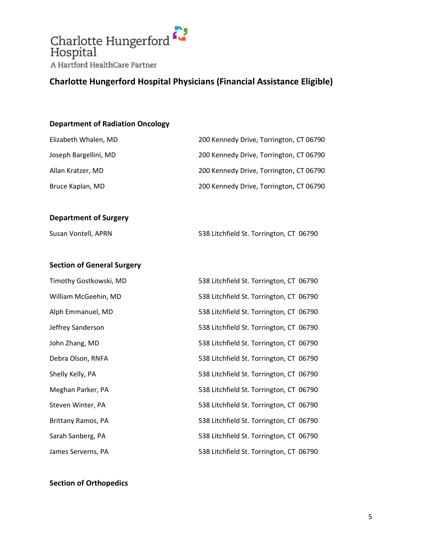

#### **Department of Radiation Oncology**

| Elizabeth Whalen, MD              | 200 Kennedy Drive, Torrington, CT 06790 |
|-----------------------------------|-----------------------------------------|
| Joseph Bargellini, MD             | 200 Kennedy Drive, Torrington, CT 06790 |
| Allan Kratzer, MD                 | 200 Kennedy Drive, Torrington, CT 06790 |
| Bruce Kaplan, MD                  | 200 Kennedy Drive, Torrington, CT 06790 |
|                                   |                                         |
| <b>Department of Surgery</b>      |                                         |
| Susan Vontell, APRN               | 538 Litchfield St. Torrington, CT 06790 |
|                                   |                                         |
| <b>Section of General Surgery</b> |                                         |
| Timothy Gostkowski, MD            | 538 Litchfield St. Torrington, CT 06790 |
| William McGeehin, MD              | 538 Litchfield St. Torrington, CT 06790 |
| Alph Emmanuel, MD                 | 538 Litchfield St. Torrington, CT 06790 |
| Jeffrey Sanderson                 | 538 Litchfield St. Torrington, CT 06790 |
| John Zhang, MD                    | 538 Litchfield St. Torrington, CT 06790 |
| Debra Olson, RNFA                 | 538 Litchfield St. Torrington, CT 06790 |
| Shelly Kelly, PA                  | 538 Litchfield St. Torrington, CT 06790 |
| Meghan Parker, PA                 | 538 Litchfield St. Torrington, CT 06790 |
| Steven Winter, PA                 | 538 Litchfield St. Torrington, CT 06790 |
| Brittany Ramos, PA                | 538 Litchfield St. Torrington, CT 06790 |
| Sarah Sanberg, PA                 | 538 Litchfield St. Torrington, CT 06790 |
| James Serverns, PA                | 538 Litchfield St. Torrington, CT 06790 |

#### **Section of Orthopedics**